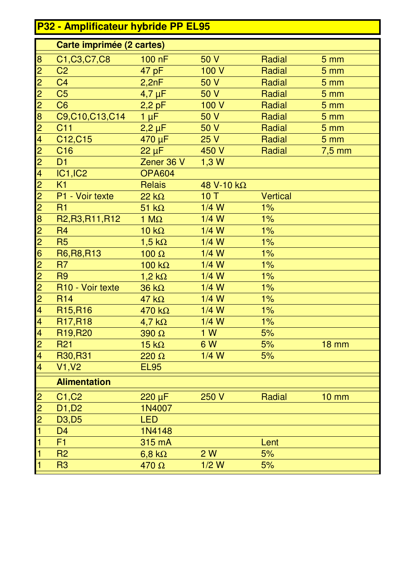## **P32 - Amplificateur hybride PP EL95**

|                         | Carte imprimée (2 cartes)        |                  |            |                 |                   |
|-------------------------|----------------------------------|------------------|------------|-----------------|-------------------|
| 8                       | C1, C3, C7, C8                   | 100 nF           | 50 V       | Radial          | 5 <sub>mm</sub>   |
| $\overline{2}$          | C <sub>2</sub>                   | 47 pF            | 100 V      | Radial          | 5 <sub>mm</sub>   |
| $\overline{2}$          | C <sub>4</sub>                   | 2,2nF            | 50 V       | Radial          | 5 <sub>mm</sub>   |
| $\overline{2}$          | C <sub>5</sub>                   | $4,7 \mu F$      | 50 V       | Radial          | 5 <sub>mm</sub>   |
| $\overline{2}$          | C <sub>6</sub>                   | $2,2$ pF         | 100V       | Radial          | 5 <sub>mm</sub>   |
| 8                       | C9,C10,C13,C14                   | $1 \mu F$        | 50 V       | Radial          | 5 <sub>mm</sub>   |
| $\overline{2}$          | C <sub>11</sub>                  | $2,2 \mu F$      | 50 V       | Radial          | 5 <sub>mm</sub>   |
| $\overline{4}$          | C12, C15                         | 470 µF           | 25 V       | Radial          | 5 <sub>mm</sub>   |
| $\overline{2}$          | C <sub>16</sub>                  | $22 \mu F$       | 450 V      | Radial          | $7,5$ mm          |
| $\overline{2}$          | D1                               | Zener 36 V       | 1,3 W      |                 |                   |
| $\overline{\mathbf{4}}$ | <b>IC1, IC2</b>                  | <b>OPA604</b>    |            |                 |                   |
| $\overline{2}$          | K1                               | <b>Relais</b>    | 48 V-10 kΩ |                 |                   |
| $\overline{2}$          | P1 - Voir texte                  | $22 k\Omega$     | 10T        | <b>Vertical</b> |                   |
| $\overline{2}$          | R1                               | $51 k\Omega$     | $1/4$ W    | 1%              |                   |
| 8                       | R2, R3, R11, R12                 | 1 $M\Omega$      | $1/4$ W    | 1%              |                   |
| $\overline{2}$          | R <sub>4</sub>                   | $10 k\Omega$     | $1/4$ W    | 1%              |                   |
| $\overline{2}$          | <b>R5</b>                        | $1,5 k\Omega$    | $1/4$ W    | 1%              |                   |
| 6                       | R6, R8, R13                      | 100 $\Omega$     | $1/4$ W    | 1%              |                   |
| $\overline{2}$          | R <sub>7</sub>                   | 100 $k\Omega$    | $1/4$ W    | 1%              |                   |
| $\overline{2}$          | R <sub>9</sub>                   | $1,2 k\Omega$    | $1/4$ W    | 1%              |                   |
| $\overline{2}$          | R10 - Voir texte                 | $36 k\Omega$     | $1/4$ W    | 1%              |                   |
| $\overline{2}$          | <b>R14</b>                       | $47 k\Omega$     | $1/4$ W    | 1%              |                   |
| $\overline{\mathbf{4}}$ | R <sub>15</sub> ,R <sub>16</sub> | $470 k\Omega$    | $1/4$ W    | $1\%$           |                   |
| $\overline{\mathbf{4}}$ | R <sub>17</sub> ,R <sub>18</sub> | $4,7$ k $\Omega$ | $1/4$ W    | $1\%$           |                   |
| $\overline{\mathbf{4}}$ | R <sub>19</sub> ,R <sub>20</sub> | $390 \Omega$     | 1 W        | 5%              |                   |
| $\overline{2}$          | <b>R21</b>                       | $15 k\Omega$     | 6 W        | 5%              | <b>18 mm</b>      |
| 4                       | R30, R31                         | $220 \Omega$     | $1/4$ W    | 5%              |                   |
| $\overline{\mathbf{4}}$ | V1, V2                           | <b>EL95</b>      |            |                 |                   |
|                         | <b>Alimentation</b>              |                  |            |                 |                   |
| $\overline{c}$          | C1, C2                           | $220 \mu F$      | 250V       | Radial          | $10 \, \text{mm}$ |
| $\overline{c}$          | D1, D2                           | 1N4007           |            |                 |                   |
| $\overline{2}$          | D <sub>3</sub> , D <sub>5</sub>  | <b>LED</b>       |            |                 |                   |
| 1                       | D <sub>4</sub>                   | 1N4148           |            |                 |                   |
| 1                       | F <sub>1</sub>                   | 315 mA           |            | Lent            |                   |
| 1                       | <b>R2</b>                        | $6,8$ k $\Omega$ | 2W         | 5%              |                   |
| 1                       | R <sub>3</sub>                   | 470 Ω            | $1/2$ W    | 5%              |                   |